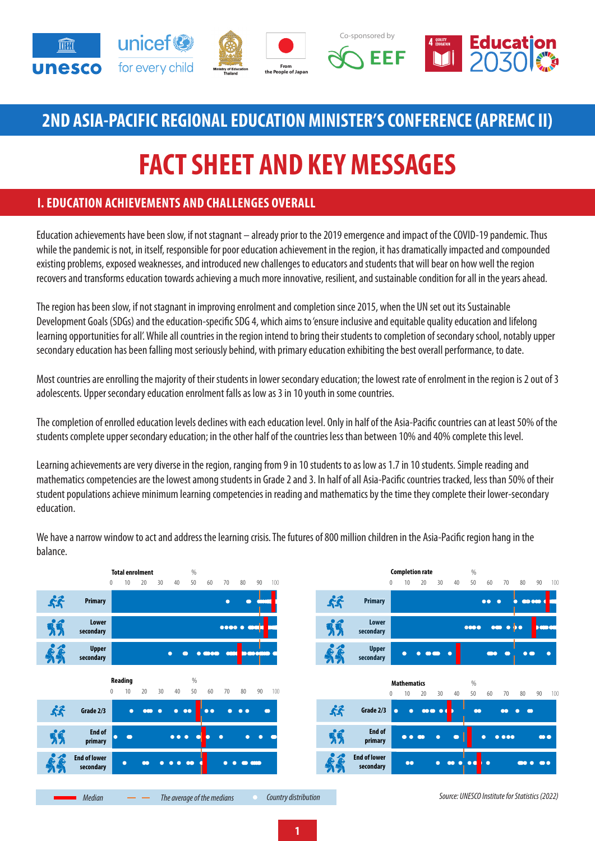

## **2ND ASIA-PACIFIC REGIONAL EDUCATION MINISTER'S CONFERENCE (APREMC II)**

# **FACT SHEET AND KEY MESSAGES**

### **I. EDUCATION ACHIEVEMENTS AND CHALLENGES OVERALL**

Education achievements have been slow, if not stagnant – already prior to the 2019 emergence and impact of the COVID-19 pandemic. Thus while the pandemic is not, in itself, responsible for poor education achievement in the region, it has dramatically impacted and compounded existing problems, exposed weaknesses, and introduced new challenges to educators and students that will bear on how well the region recovers and transforms education towards achieving a much more innovative, resilient, and sustainable condition for all in the years ahead.

The region has been slow, if not stagnant in improving enrolment and completion since 2015, when the UN set out its Sustainable Development Goals (SDGs) and the education-specific SDG 4, which aims to 'ensure inclusive and equitable quality education and lifelong learning opportunities for all'. While all countries in the region intend to bring their students to completion of secondary school, notably upper secondary education has been falling most seriously behind, with primary education exhibiting the best overall performance, to date.

Most countries are enrolling the majority of their students in lower secondary education; the lowest rate of enrolment in the region is 2 out of 3 adolescents. Upper secondary education enrolment falls as low as 3 in 10 youth in some countries.

The completion of enrolled education levels declines with each education level. Only in half of the Asia-Pacific countries can at least 50% of the students complete upper secondary education; in the other half of the countries less than between 10% and 40% complete this level.

Learning achievements are very diverse in the region, ranging from 9 in 10 students to as low as 1.7 in 10 students. Simple reading and mathematics competencies are the lowest among students in Grade 2 and 3. In half of all Asia-Pacific countries tracked, less than 50% of their student populations achieve minimum learning competencies in reading and mathematics by the time they complete their lower-secondary education.



We have a narrow window to act and address the learning crisis. The futures of 800 million children in the Asia-Pacific region hang in the balance.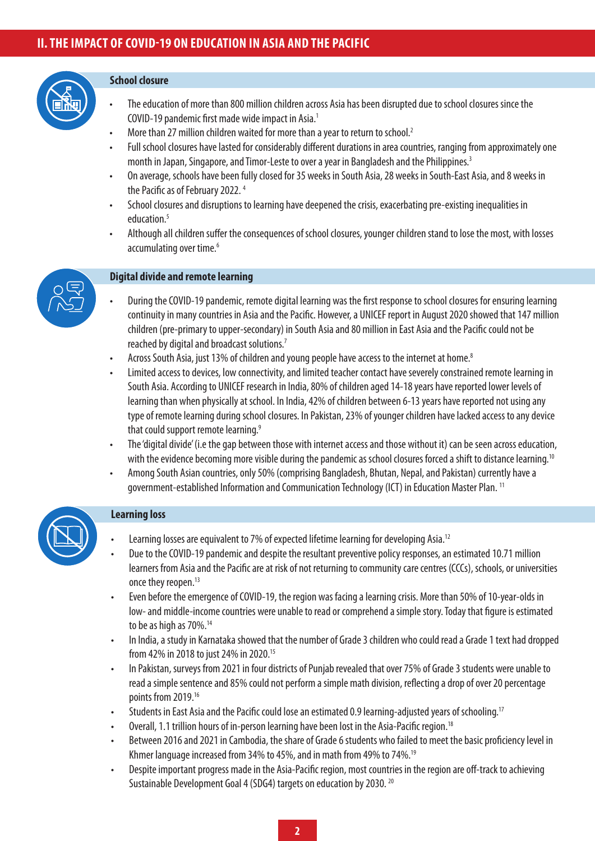#### **School closure**

- The education of more than 800 million children across Asia has been disrupted due to school closures since the COVID-19 pandemic first made wide impact in Asia.1
- More than 27 million children waited for more than a year to return to school.<sup>2</sup>
- Full school closures have lasted for considerably different durations in area countries, ranging from approximately one month in Japan, Singapore, and Timor-Leste to over a year in Bangladesh and the Philippines.<sup>3</sup>
- On average, schools have been fully closed for 35 weeks in South Asia, 28 weeks in South-East Asia, and 8 weeks in the Pacific as of February 2022. 4
- School closures and disruptions to learning have deepened the crisis, exacerbating pre-existing inequalities in education.<sup>5</sup>
- Although all children suffer the consequences of school closures, younger children stand to lose the most, with losses accumulating over time.<sup>6</sup>



#### **Digital divide and remote learning**

- During the COVID-19 pandemic, remote digital learning was the first response to school closures for ensuring learning continuity in many countries in Asia and the Pacific. However, a UNICEF report in August 2020 showed that 147 million children (pre-primary to upper-secondary) in South Asia and 80 million in East Asia and the Pacific could not be reached by digital and broadcast solutions.7
- Across South Asia, just 13% of children and young people have access to the internet at home.8
- Limited access to devices, low connectivity, and limited teacher contact have severely constrained remote learning in South Asia. According to UNICEF research in India, 80% of children aged 14-18 years have reported lower levels of learning than when physically at school. In India, 42% of children between 6-13 years have reported not using any type of remote learning during school closures. In Pakistan, 23% of younger children have lacked access to any device that could support remote learning.<sup>9</sup>
- The 'digital divide' (i.e the gap between those with internet access and those without it) can be seen across education, with the evidence becoming more visible during the pandemic as school closures forced a shift to distance learning.<sup>10</sup>
- Among South Asian countries, only 50% (comprising Bangladesh, Bhutan, Nepal, and Pakistan) currently have a government-established Information and Communication Technology (ICT) in Education Master Plan. 11

#### **Learning loss**

- Learning losses are equivalent to 7% of expected lifetime learning for developing Asia.<sup>12</sup>
- Due to the COVID-19 pandemic and despite the resultant preventive policy responses, an estimated 10.71 million learners from Asia and the Pacific are at risk of not returning to community care centres (CCCs), schools, or universities once they reopen.<sup>13</sup>
- Even before the emergence of COVID-19, the region was facing a learning crisis. More than 50% of 10-year-olds in low- and middle-income countries were unable to read or comprehend a simple story. Today that figure is estimated to be as high as 70%.<sup>14</sup>
- In India, a study in Karnataka showed that the number of Grade 3 children who could read a Grade 1 text had dropped from 42% in 2018 to just 24% in 2020.15
- In Pakistan, surveys from 2021 in four districts of Punjab revealed that over 75% of Grade 3 students were unable to read a simple sentence and 85% could not perform a simple math division, reflecting a drop of over 20 percentage points from 2019.16
- Students in East Asia and the Pacific could lose an estimated 0.9 learning-adjusted years of schooling.<sup>17</sup>
- Overall, 1.1 trillion hours of in-person learning have been lost in the Asia-Pacific region.18
- Between 2016 and 2021 in Cambodia, the share of Grade 6 students who failed to meet the basic proficiency level in Khmer language increased from 34% to 45%, and in math from 49% to 74%.19
- Despite important progress made in the Asia-Pacific region, most countries in the region are off-track to achieving Sustainable Development Goal 4 (SDG4) targets on education by 2030. 20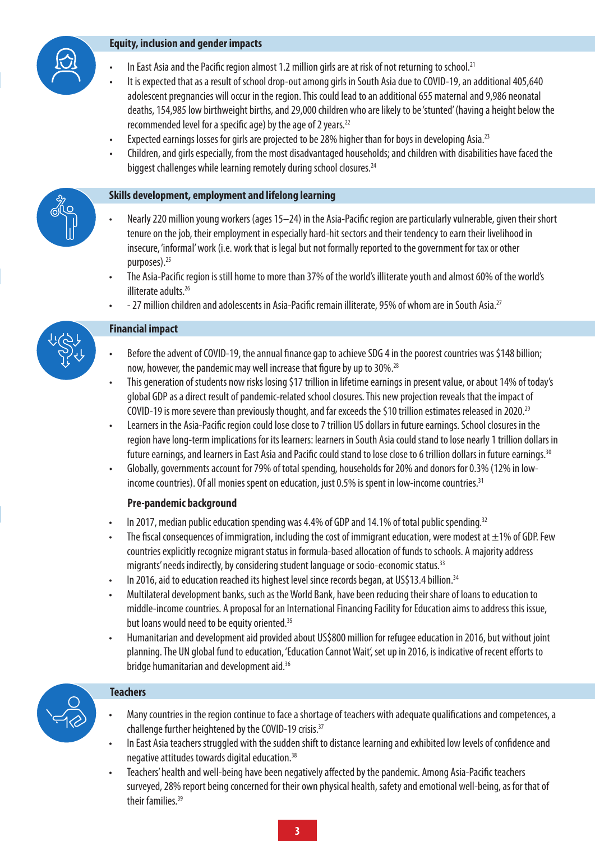

#### **Equity, inclusion and gender impacts**

- In East Asia and the Pacific region almost 1.2 million girls are at risk of not returning to school.<sup>21</sup>
- It is expected that as a result of school drop-out among girls in South Asia due to COVID-19, an additional 405,640 adolescent pregnancies will occur in the region. This could lead to an additional 655 maternal and 9,986 neonatal deaths, 154,985 low birthweight births, and 29,000 children who are likely to be 'stunted' (having a height below the recommended level for a specific age) by the age of 2 years.<sup>22</sup>
- Expected earnings losses for girls are projected to be 28% higher than for boys in developing Asia.<sup>23</sup>
- Children, and girls especially, from the most disadvantaged households; and children with disabilities have faced the biggest challenges while learning remotely during school closures.<sup>24</sup>

#### **Skills development, employment and lifelong learning**

- Nearly 220 million young workers (ages 15–24) in the Asia-Pacific region are particularly vulnerable, given their short tenure on the job, their employment in especially hard-hit sectors and their tendency to earn their livelihood in insecure, 'informal' work (i.e. work that is legal but not formally reported to the government for tax or other purposes).<sup>25</sup>
- The Asia-Pacific region is still home to more than 37% of the world's illiterate youth and almost 60% of the world's illiterate adults.26
- 27 million children and adolescents in Asia-Pacific remain illiterate, 95% of whom are in South Asia.<sup>27</sup>

#### **Financial impact**

- Before the advent of COVID-19, the annual finance gap to achieve SDG 4 in the poorest countries was \$148 billion; now, however, the pandemic may well increase that figure by up to 30%.<sup>28</sup>
- This generation of students now risks losing \$17 trillion in lifetime earnings in present value, or about 14% of today's global GDP as a direct result of pandemic-related school closures. This new projection reveals that the impact of COVID-19 is more severe than previously thought, and far exceeds the \$10 trillion estimates released in 2020.29
- Learners in the Asia-Pacific region could lose close to 7 trillion US dollars in future earnings. School closures in the region have long-term implications for its learners: learners in South Asia could stand to lose nearly 1 trillion dollars in future earnings, and learners in East Asia and Pacific could stand to lose close to 6 trillion dollars in future earnings.<sup>30</sup>
- Globally, governments account for 79% of total spending, households for 20% and donors for 0.3% (12% in lowincome countries). Of all monies spent on education, just 0.5% is spent in low-income countries.<sup>31</sup>

### **Pre-pandemic background**

- In 2017, median public education spending was 4.4% of GDP and 14.1% of total public spending.<sup>32</sup>
- The fiscal consequences of immigration, including the cost of immigrant education, were modest at  $\pm 1\%$  of GDP. Few countries explicitly recognize migrant status in formula-based allocation of funds to schools. A majority address migrants' needs indirectly, by considering student language or socio-economic status.<sup>33</sup>
- In 2016, aid to education reached its highest level since records began, at US\$13.4 billion.<sup>34</sup>
- Multilateral development banks, such as the World Bank, have been reducing their share of loans to education to middle-income countries. A proposal for an International Financing Facility for Education aims to address this issue, but loans would need to be equity oriented.<sup>35</sup>
- Humanitarian and development aid provided about US\$800 million for refugee education in 2016, but without joint planning. The UN global fund to education, 'Education Cannot Wait', set up in 2016, is indicative of recent efforts to bridge humanitarian and development aid.<sup>36</sup>



### **Teachers**

- Many countries in the region continue to face a shortage of teachers with adequate qualifications and competences, a challenge further heightened by the COVID-19 crisis.37
- In East Asia teachers struggled with the sudden shift to distance learning and exhibited low levels of confidence and negative attitudes towards digital education.38
- Teachers' health and well-being have been negatively affected by the pandemic. Among Asia-Pacific teachers surveyed, 28% report being concerned for their own physical health, safety and emotional well-being, as for that of their families.39